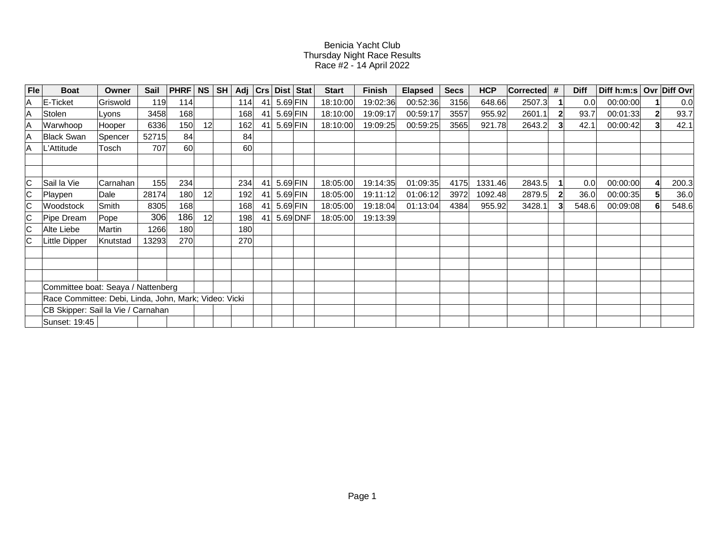## Benicia Yacht ClubThursday Night Race Results Race #2 - 14 April 2022

| Fle                                                   | <b>Boat</b>       | Owner    | Sail  | <b>PHRF</b> | <b>NS</b><br>SH | Adj |    |            | Crs   Dist   Stat | <b>Start</b> | <b>Finish</b> | <b>Elapsed</b> | <b>Secs</b> | <b>HCP</b> | $\vert$ Corrected $\vert \#$ | <b>Diff</b> | Diff h:m:s   Ovr   Diff Ovr |       |
|-------------------------------------------------------|-------------------|----------|-------|-------------|-----------------|-----|----|------------|-------------------|--------------|---------------|----------------|-------------|------------|------------------------------|-------------|-----------------------------|-------|
| ΙA                                                    | E-Ticket          | Griswold | 119   | 114         |                 | 114 | 41 | $5.69$ FIN |                   | 18:10:00     | 19:02:36      | 00:52:36       | 3156        | 648.66     | 2507.3                       | 0.0         | 00:00:00                    | 0.0   |
| ΙA                                                    | Stolen            | Lyons    | 3458  | 168         |                 | 168 | 41 | $5.69$ FIN |                   | 18:10:00     | 19:09:17      | 00:59:17       | 3557        | 955.92     | 2601.1                       | 93.7        | 00:01:33                    | 93.7  |
| ΙA                                                    | Warwhoop          | Hooper   | 6336  | 150         | 12              | 162 | 41 | $5.69$ FIN |                   | 18:10:00     | 19:09:25      | 00:59:25       | 3565        | 921.78     | 2643.2                       | 42.1        | 00:00:42                    | 42.1  |
| ۱A                                                    | <b>Black Swan</b> | Spencer  | 52715 | 84          |                 | 84  |    |            |                   |              |               |                |             |            |                              |             |                             |       |
| ۱A                                                    | L'Attitude        | Tosch    | 707   | <b>60</b>   |                 | 60  |    |            |                   |              |               |                |             |            |                              |             |                             |       |
|                                                       |                   |          |       |             |                 |     |    |            |                   |              |               |                |             |            |                              |             |                             |       |
|                                                       |                   |          |       |             |                 |     |    |            |                   |              |               |                |             |            |                              |             |                             |       |
| IС                                                    | Sail la Vie       | Carnahan | 155   | 234         |                 | 234 | 41 | $5.69$ FIN |                   | 18:05:00     | 19:14:35      | 01:09:35       | 4175        | 1331.46    | 2843.5                       | 0.0         | 00:00:00                    | 200.3 |
| IС                                                    | Playpen           | Dale     | 28174 | 180         | 12              | 192 | 41 |            | $5.69$ FIN        | 18:05:00     | 19:11:12      | 01:06:12       | 3972        | 1092.48    | 2879.5                       | 36.0        | 00:00:35                    | 36.0  |
| IС                                                    | Woodstock         | Smith    | 8305  | 168         |                 | 168 | 41 | $5.69$ FIN |                   | 18:05:00     | 19:18:04      | 01:13:04       | 4384        | 955.92     | 3428.1                       | 548.6       | 00:09:08                    | 548.6 |
| IС                                                    | Pipe Dream        | Pope     | 306   | 186         | 12              | 198 | 41 |            | $5.69$ DNF        | 18:05:00     | 19:13:39      |                |             |            |                              |             |                             |       |
| C                                                     | Alte Liebe        | Martin   | 1266  | 180         |                 | 180 |    |            |                   |              |               |                |             |            |                              |             |                             |       |
|                                                       | Little Dipper     | Knutstad | 13293 | 270         |                 | 270 |    |            |                   |              |               |                |             |            |                              |             |                             |       |
|                                                       |                   |          |       |             |                 |     |    |            |                   |              |               |                |             |            |                              |             |                             |       |
|                                                       |                   |          |       |             |                 |     |    |            |                   |              |               |                |             |            |                              |             |                             |       |
|                                                       |                   |          |       |             |                 |     |    |            |                   |              |               |                |             |            |                              |             |                             |       |
| Committee boat: Seaya / Nattenberg                    |                   |          |       |             |                 |     |    |            |                   |              |               |                |             |            |                              |             |                             |       |
| Race Committee: Debi, Linda, John, Mark; Video: Vicki |                   |          |       |             |                 |     |    |            |                   |              |               |                |             |            |                              |             |                             |       |
| CB Skipper: Sail la Vie / Carnahan                    |                   |          |       |             |                 |     |    |            |                   |              |               |                |             |            |                              |             |                             |       |
|                                                       | Sunset: 19:45     |          |       |             |                 |     |    |            |                   |              |               |                |             |            |                              |             |                             |       |